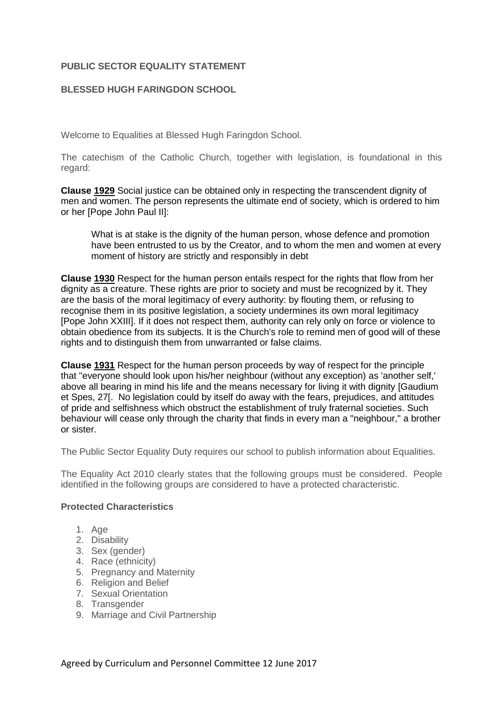# **PUBLIC SECTOR EQUALITY STATEMENT**

# **BLESSED HUGH FARINGDON SCHOOL**

Welcome to Equalities at Blessed Hugh Faringdon School.

The catechism of the Catholic Church, together with legislation, is foundational in this regard:

Clause [1929](javascript:openWindow() Social justice can be obtained only in respecting the transcendent dignity of men and women. The person represents the ultimate end of society, which is ordered to him or her [Pope John Paul II]:

What is at stake is the dignity of the human person, whose defence and promotion have been entrusted to us by the Creator, and to whom the men and women at every moment of history are strictly and responsibly in debt

Clause [1930](javascript:openWindow() Respect for the human person entails respect for the rights that flow from her dignity as a creature. These rights are prior to society and must be recognized by it. They are the basis of the moral legitimacy of every authority: by flouting them, or refusing to recognise them in its positive legislation, a society undermines its own moral legitimacy [Pope John XXIII]. If it does not respect them, authority can rely only on force or violence to obtain obedience from its subjects. It is the Church's role to remind men of good will of these rights and to distinguish them from unwarranted or false claims.

Clause [1931](javascript:openWindow() Respect for the human person proceeds by way of respect for the principle that "everyone should look upon his/her neighbour (without any exception) as 'another self,' above all bearing in mind his life and the means necessary for living it with dignity [*Gaudium et Spes, 27*[. No legislation could by itself do away with the fears, prejudices, and attitudes of pride and selfishness which obstruct the establishment of truly fraternal societies. Such behaviour will cease only through the charity that finds in every man a "neighbour," a brother or sister.

The Public Sector Equality Duty requires our school to publish information about Equalities.

The Equality Act 2010 clearly states that the following groups must be considered. People identified in the following groups are considered to have a protected characteristic.

### **Protected Characteristics**

- 1. Age
- 2. Disability
- 3. Sex (gender)
- 4. Race (ethnicity)
- 5. Pregnancy and Maternity
- 6. Religion and Belief
- 7. Sexual Orientation
- 8. Transgender
- 9. Marriage and Civil Partnership

Agreed by Curriculum and Personnel Committee 12 June 2017